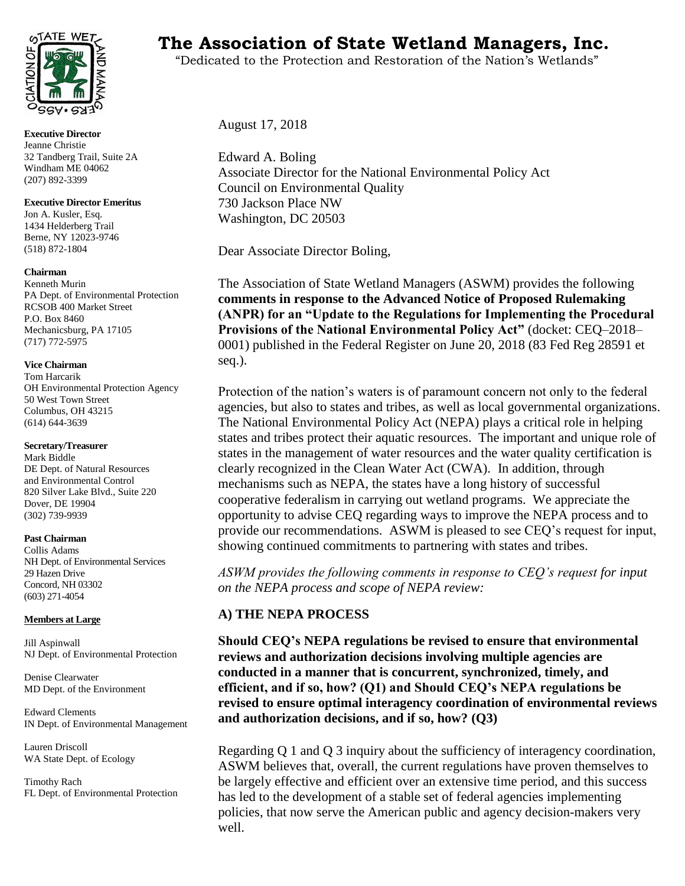

**Executive Director**  Jeanne Christie 32 Tandberg Trail, Suite 2A Windham ME 04062 (207) 892-3399

**Executive Director Emeritus** Jon A. Kusler, Esq. 1434 Helderberg Trail Berne, NY 12023-9746 (518) 872-1804

#### **Chairman**

Kenneth Murin PA Dept. of Environmental Protection RCSOB 400 Market Street P.O. Box 8460 Mechanicsburg, PA 17105 (717) 772-5975

#### **Vice Chairman**

Tom Harcarik OH Environmental Protection Agency 50 West Town Street Columbus, OH 43215 (614) 644-3639

#### **Secretary/Treasurer**

Mark Biddle DE Dept. of Natural Resources and Environmental Control 820 Silver Lake Blvd., Suite 220 Dover, DE 19904 (302) 739-9939

#### **Past Chairman**

Collis Adams NH Dept. of Environmental Services 29 Hazen Drive Concord, NH 03302 (603) 271-4054

#### **Members at Large**

Jill Aspinwall NJ Dept. of Environmental Protection

Denise Clearwater MD Dept. of the Environment

Edward Clements IN Dept. of Environmental Management

Lauren Driscoll WA State Dept. of Ecology

Timothy Rach FL Dept. of Environmental Protection

# **TAIE WETS** The Association of State Wetland Managers, Inc.

"Dedicated to the Protection and Restoration of the Nation's Wetlands"

August 17, 2018

Edward A. Boling Associate Director for the National Environmental Policy Act Council on Environmental Quality 730 Jackson Place NW Washington, DC 20503

Dear Associate Director Boling,

The Association of State Wetland Managers (ASWM) provides the following **comments in response to the Advanced Notice of Proposed Rulemaking (ANPR) for an "Update to the Regulations for Implementing the Procedural Provisions of the National Environmental Policy Act"** (docket: CEQ–2018– 0001) published in the Federal Register on June 20, 2018 (83 Fed Reg 28591 et seq.).

Protection of the nation's waters is of paramount concern not only to the federal agencies, but also to states and tribes, as well as local governmental organizations. The National Environmental Policy Act (NEPA) plays a critical role in helping states and tribes protect their aquatic resources. The important and unique role of states in the management of water resources and the water quality certification is clearly recognized in the Clean Water Act (CWA). In addition, through mechanisms such as NEPA, the states have a long history of successful cooperative federalism in carrying out wetland programs. We appreciate the opportunity to advise CEQ regarding ways to improve the NEPA process and to provide our recommendations. ASWM is pleased to see CEQ's request for input, showing continued commitments to partnering with states and tribes.

*ASWM provides the following comments in response to CEQ's request for input on the NEPA process and scope of NEPA review:* 

# **A) THE NEPA PROCESS**

**Should CEQ's NEPA regulations be revised to ensure that environmental reviews and authorization decisions involving multiple agencies are conducted in a manner that is concurrent, synchronized, timely, and efficient, and if so, how? (Q1) and Should CEQ's NEPA regulations be revised to ensure optimal interagency coordination of environmental reviews and authorization decisions, and if so, how? (Q3)** 

Regarding Q 1 and Q 3 inquiry about the sufficiency of interagency coordination, ASWM believes that, overall, the current regulations have proven themselves to be largely effective and efficient over an extensive time period, and this success has led to the development of a stable set of federal agencies implementing policies, that now serve the American public and agency decision-makers very well.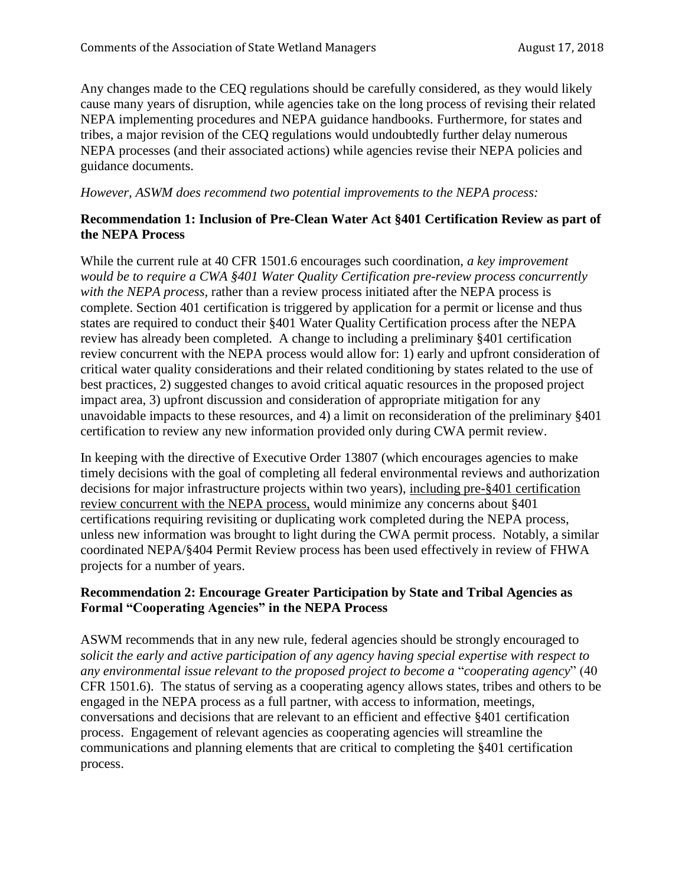Any changes made to the CEQ regulations should be carefully considered, as they would likely cause many years of disruption, while agencies take on the long process of revising their related NEPA implementing procedures and NEPA guidance handbooks. Furthermore, for states and tribes, a major revision of the CEQ regulations would undoubtedly further delay numerous NEPA processes (and their associated actions) while agencies revise their NEPA policies and guidance documents.

#### *However, ASWM does recommend two potential improvements to the NEPA process:*

#### **Recommendation 1: Inclusion of Pre-Clean Water Act §401 Certification Review as part of the NEPA Process**

While the current rule at 40 CFR 1501.6 encourages such coordination, *a key improvement would be to require a CWA §401 Water Quality Certification pre-review process concurrently with the NEPA process,* rather than a review process initiated after the NEPA process is complete. Section 401 certification is triggered by application for a permit or license and thus states are required to conduct their §401 Water Quality Certification process after the NEPA review has already been completed. A change to including a preliminary §401 certification review concurrent with the NEPA process would allow for: 1) early and upfront consideration of critical water quality considerations and their related conditioning by states related to the use of best practices, 2) suggested changes to avoid critical aquatic resources in the proposed project impact area, 3) upfront discussion and consideration of appropriate mitigation for any unavoidable impacts to these resources, and 4) a limit on reconsideration of the preliminary §401 certification to review any new information provided only during CWA permit review.

In keeping with the directive of Executive Order 13807 (which encourages agencies to make timely decisions with the goal of completing all federal environmental reviews and authorization decisions for major infrastructure projects within two years), including pre-§401 certification review concurrent with the NEPA process, would minimize any concerns about §401 certifications requiring revisiting or duplicating work completed during the NEPA process, unless new information was brought to light during the CWA permit process. Notably, a similar coordinated NEPA/§404 Permit Review process has been used effectively in review of FHWA projects for a number of years.

## **Recommendation 2: Encourage Greater Participation by State and Tribal Agencies as Formal "Cooperating Agencies" in the NEPA Process**

ASWM recommends that in any new rule, federal agencies should be strongly encouraged to *solicit the early and active participation of any agency having special expertise with respect to any environmental issue relevant to the proposed project to become a* "*cooperating agency*" (40 CFR 1501.6). The status of serving as a cooperating agency allows states, tribes and others to be engaged in the NEPA process as a full partner, with access to information, meetings, conversations and decisions that are relevant to an efficient and effective §401 certification process. Engagement of relevant agencies as cooperating agencies will streamline the communications and planning elements that are critical to completing the §401 certification process.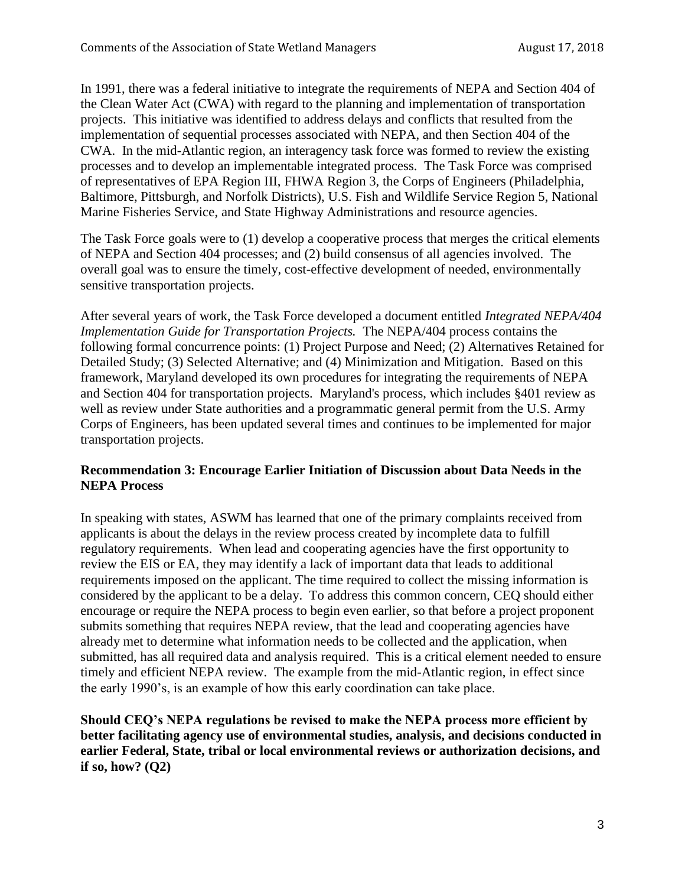In 1991, there was a federal initiative to integrate the requirements of NEPA and Section 404 of the Clean Water Act (CWA) with regard to the planning and implementation of transportation projects. This initiative was identified to address delays and conflicts that resulted from the implementation of sequential processes associated with NEPA, and then Section 404 of the CWA. In the mid-Atlantic region, an interagency task force was formed to review the existing processes and to develop an implementable integrated process. The Task Force was comprised of representatives of EPA Region III, FHWA Region 3, the Corps of Engineers (Philadelphia, Baltimore, Pittsburgh, and Norfolk Districts), U.S. Fish and Wildlife Service Region 5, National Marine Fisheries Service, and State Highway Administrations and resource agencies.

The Task Force goals were to (1) develop a cooperative process that merges the critical elements of NEPA and Section 404 processes; and (2) build consensus of all agencies involved. The overall goal was to ensure the timely, cost-effective development of needed, environmentally sensitive transportation projects.

After several years of work, the Task Force developed a document entitled *Integrated NEPA/404 Implementation Guide for Transportation Projects.* The NEPA/404 process contains the following formal concurrence points: (1) Project Purpose and Need; (2) Alternatives Retained for Detailed Study; (3) Selected Alternative; and (4) Minimization and Mitigation. Based on this framework, Maryland developed its own procedures for integrating the requirements of NEPA and Section 404 for transportation projects. Maryland's process, which includes §401 review as well as review under State authorities and a programmatic general permit from the U.S. Army Corps of Engineers, has been updated several times and continues to be implemented for major transportation projects.

## **Recommendation 3: Encourage Earlier Initiation of Discussion about Data Needs in the NEPA Process**

In speaking with states, ASWM has learned that one of the primary complaints received from applicants is about the delays in the review process created by incomplete data to fulfill regulatory requirements. When lead and cooperating agencies have the first opportunity to review the EIS or EA, they may identify a lack of important data that leads to additional requirements imposed on the applicant. The time required to collect the missing information is considered by the applicant to be a delay. To address this common concern, CEQ should either encourage or require the NEPA process to begin even earlier, so that before a project proponent submits something that requires NEPA review, that the lead and cooperating agencies have already met to determine what information needs to be collected and the application, when submitted, has all required data and analysis required. This is a critical element needed to ensure timely and efficient NEPA review. The example from the mid-Atlantic region, in effect since the early 1990's, is an example of how this early coordination can take place.

**Should CEQ's NEPA regulations be revised to make the NEPA process more efficient by better facilitating agency use of environmental studies, analysis, and decisions conducted in earlier Federal, State, tribal or local environmental reviews or authorization decisions, and if so, how? (Q2)**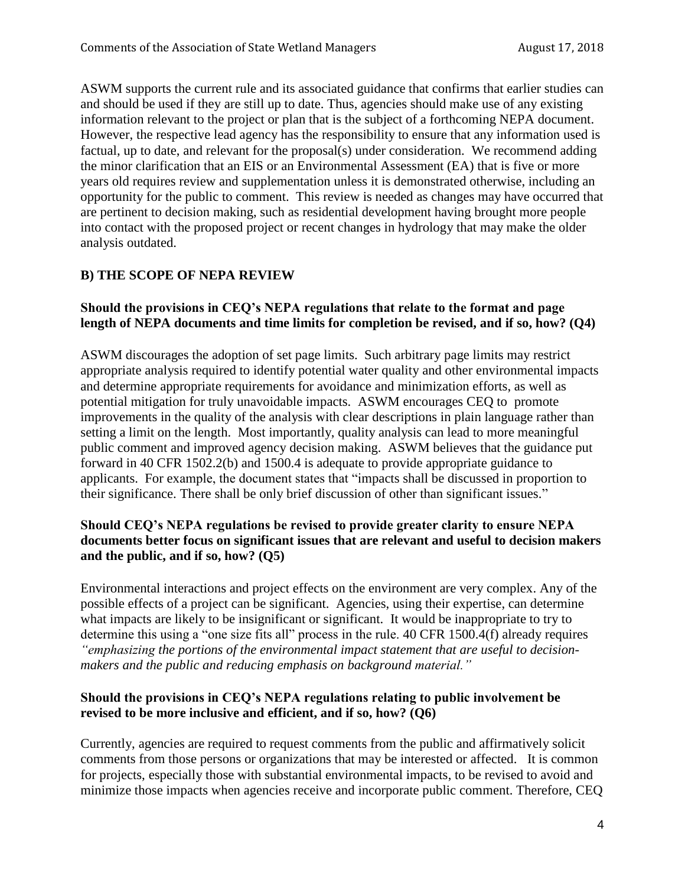ASWM supports the current rule and its associated guidance that confirms that earlier studies can and should be used if they are still up to date. Thus, agencies should make use of any existing information relevant to the project or plan that is the subject of a forthcoming NEPA document. However, the respective lead agency has the responsibility to ensure that any information used is factual, up to date, and relevant for the proposal(s) under consideration. We recommend adding the minor clarification that an EIS or an Environmental Assessment (EA) that is five or more years old requires review and supplementation unless it is demonstrated otherwise, including an opportunity for the public to comment. This review is needed as changes may have occurred that are pertinent to decision making, such as residential development having brought more people into contact with the proposed project or recent changes in hydrology that may make the older analysis outdated.

# **B) THE SCOPE OF NEPA REVIEW**

## **Should the provisions in CEQ's NEPA regulations that relate to the format and page length of NEPA documents and time limits for completion be revised, and if so, how? (Q4)**

ASWM discourages the adoption of set page limits. Such arbitrary page limits may restrict appropriate analysis required to identify potential water quality and other environmental impacts and determine appropriate requirements for avoidance and minimization efforts, as well as potential mitigation for truly unavoidable impacts. ASWM encourages CEQ to promote improvements in the quality of the analysis with clear descriptions in plain language rather than setting a limit on the length. Most importantly, quality analysis can lead to more meaningful public comment and improved agency decision making. ASWM believes that the guidance put forward in 40 CFR 1502.2(b) and 1500.4 is adequate to provide appropriate guidance to applicants. For example, the document states that "impacts shall be discussed in proportion to their significance. There shall be only brief discussion of other than significant issues."

# **Should CEQ's NEPA regulations be revised to provide greater clarity to ensure NEPA documents better focus on significant issues that are relevant and useful to decision makers and the public, and if so, how? (Q5)**

Environmental interactions and project effects on the environment are very complex. Any of the possible effects of a project can be significant. Agencies, using their expertise, can determine what impacts are likely to be insignificant or significant. It would be inappropriate to try to determine this using a "one size fits all" process in the rule. 40 CFR 1500.4(f) already requires *"emphasizing the portions of the environmental impact statement that are useful to decisionmakers and the public and reducing emphasis on background material."*

## **Should the provisions in CEQ's NEPA regulations relating to public involvement be revised to be more inclusive and efficient, and if so, how? (Q6)**

Currently, agencies are required to request comments from the public and affirmatively solicit comments from those persons or organizations that may be interested or affected. It is common for projects, especially those with substantial environmental impacts, to be revised to avoid and minimize those impacts when agencies receive and incorporate public comment. Therefore, CEQ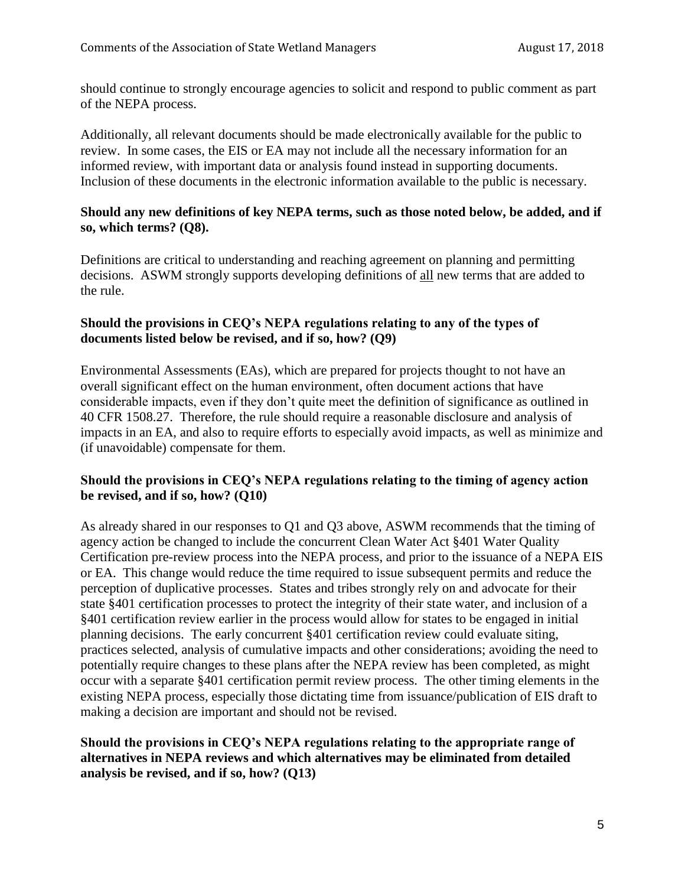should continue to strongly encourage agencies to solicit and respond to public comment as part of the NEPA process.

Additionally, all relevant documents should be made electronically available for the public to review. In some cases, the EIS or EA may not include all the necessary information for an informed review, with important data or analysis found instead in supporting documents. Inclusion of these documents in the electronic information available to the public is necessary.

#### **Should any new definitions of key NEPA terms, such as those noted below, be added, and if so, which terms? (Q8).**

Definitions are critical to understanding and reaching agreement on planning and permitting decisions. ASWM strongly supports developing definitions of all new terms that are added to the rule.

## **Should the provisions in CEQ's NEPA regulations relating to any of the types of documents listed below be revised, and if so, how? (Q9)**

Environmental Assessments (EAs), which are prepared for projects thought to not have an overall significant effect on the human environment, often document actions that have considerable impacts, even if they don't quite meet the definition of significance as outlined in 40 CFR 1508.27. Therefore, the rule should require a reasonable disclosure and analysis of impacts in an EA, and also to require efforts to especially avoid impacts, as well as minimize and (if unavoidable) compensate for them.

# **Should the provisions in CEQ's NEPA regulations relating to the timing of agency action be revised, and if so, how? (Q10)**

As already shared in our responses to Q1 and Q3 above, ASWM recommends that the timing of agency action be changed to include the concurrent Clean Water Act §401 Water Quality Certification pre-review process into the NEPA process, and prior to the issuance of a NEPA EIS or EA. This change would reduce the time required to issue subsequent permits and reduce the perception of duplicative processes. States and tribes strongly rely on and advocate for their state §401 certification processes to protect the integrity of their state water, and inclusion of a §401 certification review earlier in the process would allow for states to be engaged in initial planning decisions. The early concurrent §401 certification review could evaluate siting, practices selected, analysis of cumulative impacts and other considerations; avoiding the need to potentially require changes to these plans after the NEPA review has been completed, as might occur with a separate §401 certification permit review process. The other timing elements in the existing NEPA process, especially those dictating time from issuance/publication of EIS draft to making a decision are important and should not be revised.

## **Should the provisions in CEQ's NEPA regulations relating to the appropriate range of alternatives in NEPA reviews and which alternatives may be eliminated from detailed analysis be revised, and if so, how? (Q13)**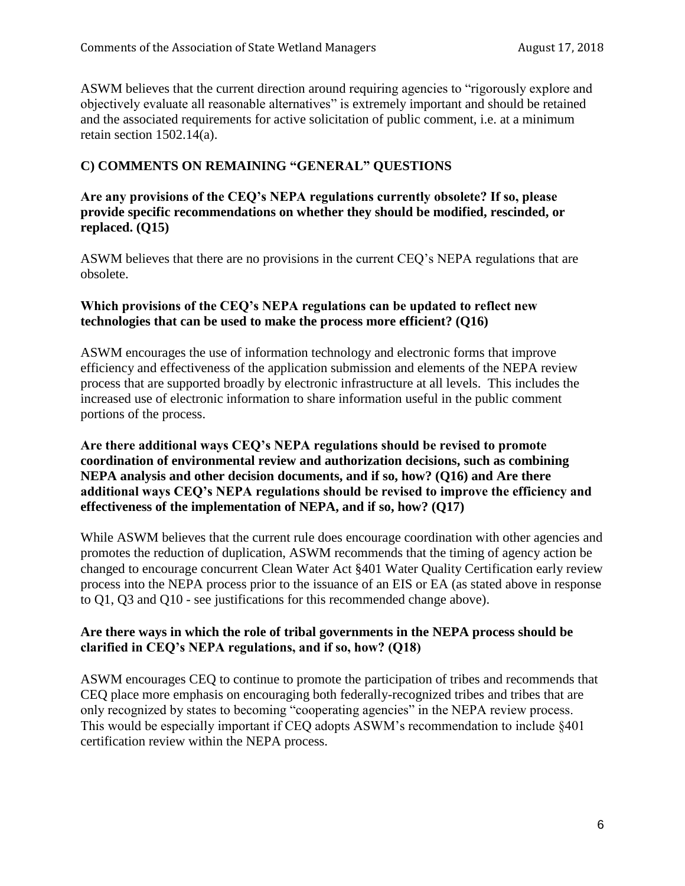ASWM believes that the current direction around requiring agencies to "rigorously explore and objectively evaluate all reasonable alternatives" is extremely important and should be retained and the associated requirements for active solicitation of public comment, i.e. at a minimum retain section 1502.14(a).

# **C) COMMENTS ON REMAINING "GENERAL" QUESTIONS**

## **Are any provisions of the CEQ's NEPA regulations currently obsolete? If so, please provide specific recommendations on whether they should be modified, rescinded, or replaced. (Q15)**

ASWM believes that there are no provisions in the current CEQ's NEPA regulations that are obsolete.

## **Which provisions of the CEQ's NEPA regulations can be updated to reflect new technologies that can be used to make the process more efficient? (Q16)**

ASWM encourages the use of information technology and electronic forms that improve efficiency and effectiveness of the application submission and elements of the NEPA review process that are supported broadly by electronic infrastructure at all levels. This includes the increased use of electronic information to share information useful in the public comment portions of the process.

## **Are there additional ways CEQ's NEPA regulations should be revised to promote coordination of environmental review and authorization decisions, such as combining NEPA analysis and other decision documents, and if so, how? (Q16) and Are there additional ways CEQ's NEPA regulations should be revised to improve the efficiency and effectiveness of the implementation of NEPA, and if so, how? (Q17)**

While ASWM believes that the current rule does encourage coordination with other agencies and promotes the reduction of duplication, ASWM recommends that the timing of agency action be changed to encourage concurrent Clean Water Act §401 Water Quality Certification early review process into the NEPA process prior to the issuance of an EIS or EA (as stated above in response to Q1, Q3 and Q10 - see justifications for this recommended change above).

# **Are there ways in which the role of tribal governments in the NEPA process should be clarified in CEQ's NEPA regulations, and if so, how? (Q18)**

ASWM encourages CEQ to continue to promote the participation of tribes and recommends that CEQ place more emphasis on encouraging both federally-recognized tribes and tribes that are only recognized by states to becoming "cooperating agencies" in the NEPA review process. This would be especially important if CEQ adopts ASWM's recommendation to include §401 certification review within the NEPA process.